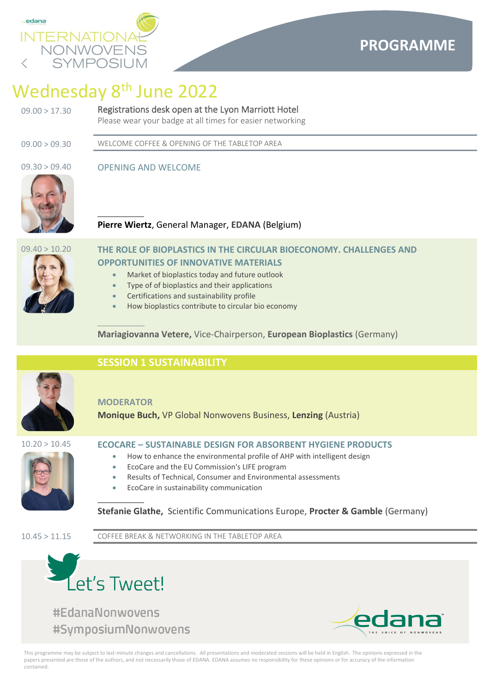

# Wednesday 8<sup>th</sup> June 2022

## 09.00 > 17.30 Registrations desk open at the Lyon Marriott Hotel

Please wear your badge at all times for easier networking

09.00 > 09.30 WELCOME COFFEE & OPENING OF THE TABLETOP AREA

## 09.30 > 09.40 OPENING AND WELCOME



**Pierre Wiertz**, General Manager, **EDANA** (Belgium)



## 09.40 > 10.20 **THE ROLE OF BIOPLASTICS IN THE CIRCULAR BIOECONOMY. CHALLENGES AND OPPORTUNITIES OF INNOVATIVE MATERIALS**

- Market of bioplastics today and future outlook
- Type of of bioplastics and their applications
- Certifications and sustainability profile
- How bioplastics contribute to circular bio economy

**Mariagiovanna Vetere,** Vice-Chairperson, **European Bioplastics** (Germany)



## **SESSION 1 SUSTAINABILITY**

## **MODERATOR**

**Monique Buch,** VP Global Nonwovens Business, **Lenzing** (Austria)



## 10.20 > 10.45 **ECOCARE – SUSTAINABLE DESIGN FOR ABSORBENT HYGIENE PRODUCTS**

- How to enhance the environmental profile of AHP with intelligent design
- EcoCare and the EU Commission's LIFE program
- Results of Technical, Consumer and Environmental assessments
- EcoCare in sustainability communication

## **Stefanie Glathe,** Scientific Communications Europe, **Procter & Gamble** (Germany)

10.45 > 11.15 COFFEE BREAK & NETWORKING IN THE TABLETOP AREA



#EdanaNonwovens #SymposiumNonwovens

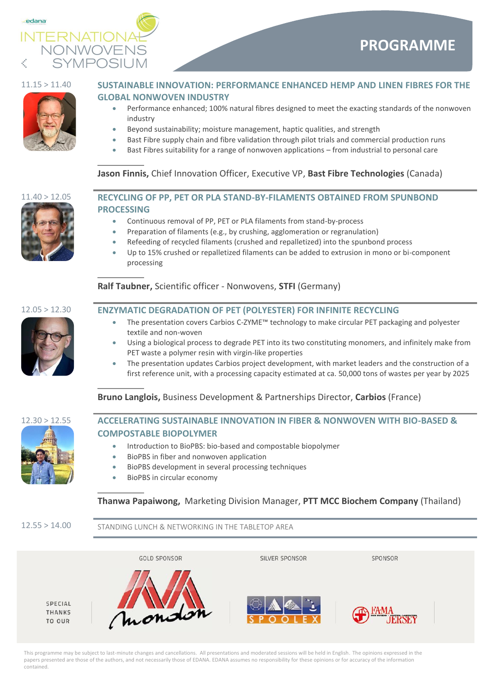



## 11.15 > 11.40 **SUSTAINABLE INNOVATION: PERFORMANCE ENHANCED HEMP AND LINEN FIBRES FOR THE GLOBAL NONWOVEN INDUSTRY**

- Performance enhanced; 100% natural fibres designed to meet the exacting standards of the nonwoven industry
- Beyond sustainability; moisture management, haptic qualities, and strength
- Bast Fibre supply chain and fibre validation through pilot trials and commercial production runs
- Bast Fibres suitability for a range of nonwoven applications from industrial to personal care

## **Jason Finnis,** Chief Innovation Officer, Executive VP, **Bast Fibre Technologies** (Canada)



## 11.40 > 12.05 **RECYCLING OF PP, PET OR PLA STAND-BY-FILAMENTS OBTAINED FROM SPUNBOND PROCESSING**

- Continuous removal of PP, PET or PLA filaments from stand-by-process
- Preparation of filaments (e.g., by crushing, agglomeration or regranulation)
- Refeeding of recycled filaments (crushed and repalletized) into the spunbond process
- Up to 15% crushed or repalletized filaments can be added to extrusion in mono or bi-component processing

# 12.05 > 12.30 **ENZYMATIC DEGRADATION OF PET (POLYESTER) FOR INFINITE RECYCLING**

**Ralf Taubner,** Scientific officer - Nonwovens, **STFI** (Germany)

- The presentation covers Carbios C-ZYME™ technology to make circular PET packaging and polyester textile and non-woven
- Using a biological process to degrade PET into its two constituting monomers, and infinitely make from PET waste a polymer resin with virgin-like properties
- The presentation updates Carbios project development, with market leaders and the construction of a first reference unit, with a processing capacity estimated at ca. 50,000 tons of wastes per year by 2025

## **Bruno Langlois,** Business Development & Partnerships Director, **Carbios** (France)





## 12.30 > 12.55 **ACCELERATING SUSTAINABLE INNOVATION IN FIBER & NONWOVEN WITH BIO-BASED & COMPOSTABLE BIOPOLYMER**

- Introduction to BioPBS: bio-based and compostable biopolymer
- BioPBS in fiber and nonwoven application
- BioPBS development in several processing techniques
- BioPBS in circular economy

## **Thanwa Papaiwong,** Marketing Division Manager, **PTT MCC Biochem Company** (Thailand)

12.55 > 14.00 STANDING LUNCH & NETWORKING IN THE TABLETOP AREA

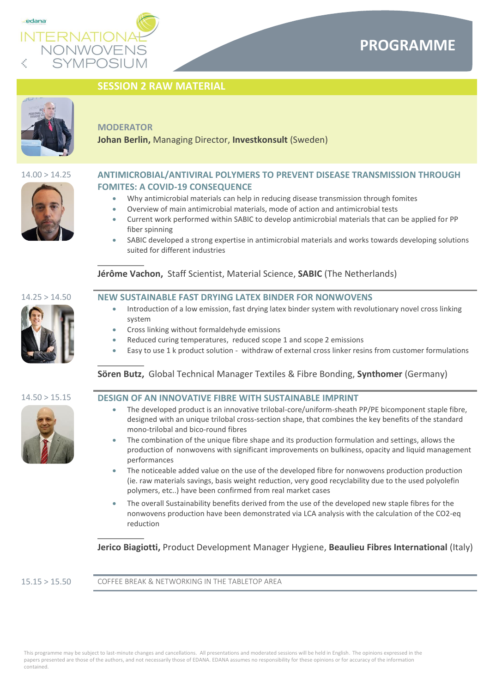

## **SESSION 2 RAW MATERIAL**



### **MODERATOR**

**Johan Berlin,** Managing Director, **Investkonsult** (Sweden)



- Why antimicrobial materials can help in reducing disease transmission through fomites
- Overview of main antimicrobial materials, mode of action and antimicrobial tests
- Current work performed within SABIC to develop antimicrobial materials that can be applied for PP fiber spinning
- SABIC developed a strong expertise in antimicrobial materials and works towards developing solutions suited for different industries

**Jérôme Vachon,** Staff Scientist, Material Science, **SABIC** (The Netherlands)

## 14.25 > 14.50 **NEW SUSTAINABLE FAST DRYING LATEX BINDER FOR NONWOVENS**

- Introduction of a low emission, fast drying latex binder system with revolutionary novel cross linking system
- Cross linking without formaldehyde emissions
- Reduced curing temperatures, reduced scope 1 and scope 2 emissions
- Easy to use 1 k product solution withdraw of external cross linker resins from customer formulations

## **Sӧren Butz,** Global Technical Manager Textiles & Fibre Bonding, **Synthomer** (Germany)



### 14.50 > 15.15 **DESIGN OF AN INNOVATIVE FIBRE WITH SUSTAINABLE IMPRINT**

- The developed product is an innovative trilobal-core/uniform-sheath PP/PE bicomponent staple fibre, designed with an unique trilobal cross-section shape, that combines the key benefits of the standard mono-trilobal and bico-round fibres
- The combination of the unique fibre shape and its production formulation and settings, allows the production of nonwovens with significant improvements on bulkiness, opacity and liquid management performances
- The noticeable added value on the use of the developed fibre for nonwovens production production (ie. raw materials savings, basis weight reduction, very good recyclability due to the used polyolefin polymers, etc..) have been confirmed from real market cases
- The overall Sustainability benefits derived from the use of the developed new staple fibres for the nonwovens production have been demonstrated via LCA analysis with the calculation of the CO2-eq reduction

**Jerico Biagiotti,** Product Development Manager Hygiene, **Beaulieu Fibres International** (Italy)

15.15 > 15.50 COFFEE BREAK & NETWORKING IN THE TABLETOP AREA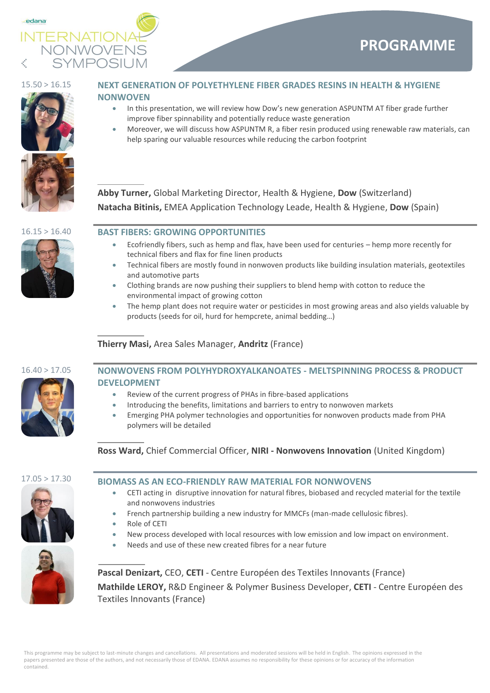





## 15.50 > 16.15 **NEXT GENERATION OF POLYETHYLENE FIBER GRADES RESINS IN HEALTH & HYGIENE NONWOVEN**

- In this presentation, we will review how Dow's new generation ASPUNTM AT fiber grade further improve fiber spinnability and potentially reduce waste generation
- Moreover, we will discuss how ASPUNTM R, a fiber resin produced using renewable raw materials, can help sparing our valuable resources while reducing the carbon footprint

**Abby Turner,** Global Marketing Director, Health & Hygiene, **Dow** (Switzerland) **Natacha Bitinis,** EMEA Application Technology Leade, Health & Hygiene, **Dow** (Spain)

## 16.15 > 16.40 **BAST FIBERS: GROWING OPPORTUNITIES**

- Ecofriendly fibers, such as hemp and flax, have been used for centuries hemp more recently for technical fibers and flax for fine linen products
- Technical fibers are mostly found in nonwoven products like building insulation materials, geotextiles and automotive parts
- Clothing brands are now pushing their suppliers to blend hemp with cotton to reduce the environmental impact of growing cotton
- The hemp plant does not require water or pesticides in most growing areas and also yields valuable by products (seeds for oil, hurd for hempcrete, animal bedding…)

## **Thierry Masi,** Area Sales Manager, **Andritz** (France)



## 16.40 > 17.05 **NONWOVENS FROM POLYHYDROXYALKANOATES - MELTSPINNING PROCESS & PRODUCT DEVELOPMENT** • Review of the current progress of PHAs in fibre-based applications

- 
- Introducing the benefits, limitations and barriers to entry to nonwoven markets
- Emerging PHA polymer technologies and opportunities for nonwoven products made from PHA polymers will be detailed

**Ross Ward,** Chief Commercial Officer, **NIRI - Nonwovens Innovation** (United Kingdom)



## 17.05 > 17.30 **BIOMASS AS AN ECO-FRIENDLY RAW MATERIAL FOR NONWOVENS**

- CETI acting in disruptive innovation for natural fibres, biobased and recycled material for the textile and nonwovens industries
- French partnership building a new industry for MMCFs (man-made cellulosic fibres).
- Role of CETI
- New process developed with local resources with low emission and low impact on environment.
- Needs and use of these new created fibres for a near future



**Pascal Denizart,** CEO, **CETI** - Centre Européen des Textiles Innovants (France) **Mathilde LEROY,** R&D Engineer & Polymer Business Developer, **CETI** - Centre Européen des Textiles Innovants (France)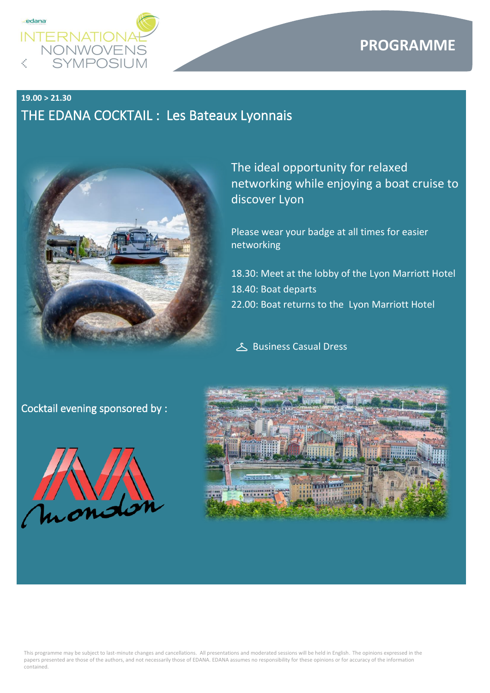

## **PROGRAMME**

## **19.00 > 21.30**  THE EDANA COCKTAIL : Les Bateaux Lyonnais



The ideal opportunity for relaxed networking while enjoying a boat cruise to discover Lyon

Please wear your badge at all times for easier networking

- 18.30: Meet at the lobby of the Lyon Marriott Hotel 18.40: Boat departs
- 22.00: Boat returns to the Lyon Marriott Hotel

Business Casual Dress

## Cocktail evening sponsored by :



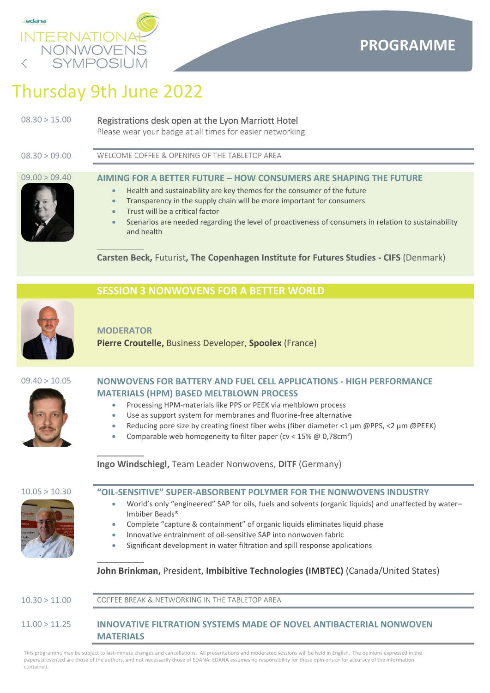

# Thursday 9th June 2022

| 08.30 > 15.00 | Registrations desk open at the Lyon Marriott Hotel                                                                                                                                                                                |
|---------------|-----------------------------------------------------------------------------------------------------------------------------------------------------------------------------------------------------------------------------------|
|               | $\mathbb{R}$ . The set of the set of the set of the set of the set of the set of the set of the set of the set of the set of the set of the set of the set of the set of the set of the set of the set of the set of the set of t |

Please wear your badge at all times for easier networking

08.30 > 09.00 WELCOME COFFEE & OPENING OF THE TABLETOP AREA

## 09.00 > 09.40 **AIMING FOR A BETTER FUTURE – HOW CONSUMERS ARE SHAPING THE FUTURE**

- Health and sustainability are key themes for the consumer of the future
- Transparency in the supply chain will be more important for consumers
- Trust will be a critical factor
- Scenarios are needed regarding the level of proactiveness of consumers in relation to sustainability and health

**Carsten Beck,** Futurist**, The Copenhagen Institute for Futures Studies - CIFS** (Denmark)



## **MODERATOR**

**Pierre Croutelle,** Business Developer, **Spoolex** (France)

**SESSION 3 NONWOVENS FOR A BETTER WORLD**



## 09.40 > 10.05 **NONWOVENS FOR BATTERY AND FUEL CELL APPLICATIONS - HIGH PERFORMANCE MATERIALS (HPM) BASED MELTBLOWN PROCESS**

- Processing HPM-materials like PPS or PEEK via meltblown process
- Use as support system for membranes and fluorine-free alternative
- Reducing pore size by creating finest fiber webs (fiber diameter <1 µm @PPS, <2 µm @PEEK)
- Comparable web homogeneity to filter paper (cv < 15% @ 0,78cm²)

**Ingo Windschiegl,** Team Leader Nonwovens, **DITF** (Germany)





- 10.05 > 10.30 **"OIL-SENSITIVE" SUPER-ABSORBENT POLYMER FOR THE NONWOVENS INDUSTRY**
	- World's only "engineered" SAP for oils, fuels and solvents (organic liquids) and unaffected by water– Imbiber Beads®
	- Complete "capture & containment" of organic liquids eliminates liquid phase
	- Innovative entrainment of oil-sensitive SAP into nonwoven fabric
	- Significant development in water filtration and spill response applications

## **John Brinkman,** President, **Imbibitive Technologies (IMBTEC)** (Canada/United States)

10.30 > 11.00 COFFEE BREAK & NETWORKING IN THE TABLETOP AREA

## 11.00 > 11.25 **INNOVATIVE FILTRATION SYSTEMS MADE OF NOVEL ANTIBACTERIAL NONWOVEN MATERIALS**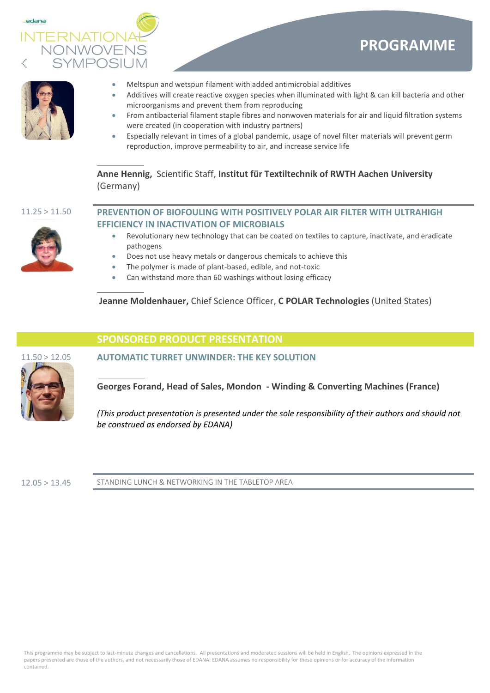



- 
- Meltspun and wetspun filament with added antimicrobial additives
- Additives will create reactive oxygen species when illuminated with light & can kill bacteria and other microorganisms and prevent them from reproducing
- From antibacterial filament staple fibres and nonwoven materials for air and liquid filtration systems were created (in cooperation with industry partners)
- Especially relevant in times of a global pandemic, usage of novel filter materials will prevent germ reproduction, improve permeability to air, and increase service life

**Anne Hennig,** Scientific Staff, **Institut für Textiltechnik of RWTH Aachen University** (Germany)

## 11.25 > 11.50 **PREVENTION OF BIOFOULING WITH POSITIVELY POLAR AIR FILTER WITH ULTRAHIGH EFFICIENCY IN INACTIVATION OF MICROBIALS**

- 
- Revolutionary new technology that can be coated on textiles to capture, inactivate, and eradicate pathogens
- Does not use heavy metals or dangerous chemicals to achieve this
- The polymer is made of plant-based, edible, and not-toxic
- Can withstand more than 60 washings without losing efficacy

**Jeanne Moldenhauer,** Chief Science Officer, **C POLAR Technologies** (United States)

## **SPONSORED PRODUCT PRESENTATION**



11.50 > 12.05 **AUTOMATIC TURRET UNWINDER: THE KEY SOLUTION**

**Georges Forand, Head of Sales, Mondon - Winding & Converting Machines (France)**

*(This product presentation is presented under the sole responsibility of their authors and should not be construed as endorsed by EDANA)*

12.05 > 13.45 STANDING LUNCH & NETWORKING IN THE TABLETOP AREA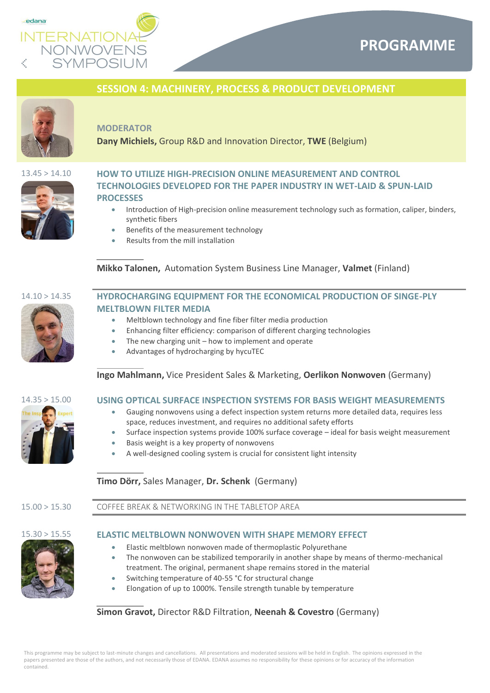

## **PROGRAMME**

## **SESSION 4: MACHINERY, PROCESS & PRODUCT DEVELOPMENT**



### **MODERATOR**

**Dany Michiels,** Group R&D and Innovation Director, **TWE** (Belgium)



## 13.45 > 14.10 **HOW TO UTILIZE HIGH-PRECISION ONLINE MEASUREMENT AND CONTROL TECHNOLOGIES DEVELOPED FOR THE PAPER INDUSTRY IN WET-LAID & SPUN-LAID PROCESSES**

- Introduction of High-precision online measurement technology such as formation, caliper, binders, synthetic fibers
- Benefits of the measurement technology
- Results from the mill installation

## **Mikko Talonen,** Automation System Business Line Manager, **Valmet** (Finland)



## 14.10 > 14.35 **HYDROCHARGING EQUIPMENT FOR THE ECONOMICAL PRODUCTION OF SINGE-PLY MELTBLOWN FILTER MEDIA**

- Meltblown technology and fine fiber filter media production
- Enhancing filter efficiency: comparison of different charging technologies
- The new charging unit  $-$  how to implement and operate
- Advantages of hydrocharging by hycuTEC

## **Ingo Mahlmann,** Vice President Sales & Marketing, **Oerlikon Nonwoven** (Germany)



## 14.35 > 15.00 **USING OPTICAL SURFACE INSPECTION SYSTEMS FOR BASIS WEIGHT MEASUREMENTS**

- Gauging nonwovens using a defect inspection system returns more detailed data, requires less space, reduces investment, and requires no additional safety efforts
- Surface inspection systems provide 100% surface coverage ideal for basis weight measurement
- Basis weight is a key property of nonwovens
- A well-designed cooling system is crucial for consistent light intensity

## **Timo Dörr,** Sales Manager, **Dr. Schenk** (Germany)

15.00 > 15.30 COFFEE BREAK & NETWORKING IN THE TABLETOP AREA

### 15.30 > 15.55 **ELASTIC MELTBLOWN NONWOVEN WITH SHAPE MEMORY EFFECT**

- Elastic meltblown nonwoven made of thermoplastic Polyurethane
- The nonwoven can be stabilized temporarily in another shape by means of thermo-mechanical treatment. The original, permanent shape remains stored in the material
- Switching temperature of 40-55 °C for structural change
- Elongation of up to 1000%. Tensile strength tunable by temperature

## **Simon Gravot,** Director R&D Filtration, **Neenah & Covestro** (Germany)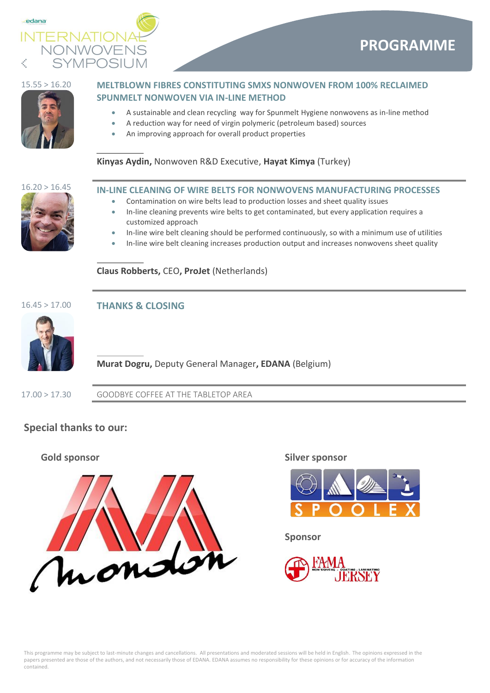



## 15.55 > 16.20 **MELTBLOWN FIBRES CONSTITUTING SMXS NONWOVEN FROM 100% RECLAIMED SPUNMELT NONWOVEN VIA IN-LINE METHOD**

- A sustainable and clean recycling way for Spunmelt Hygiene nonwovens as in-line method
	- A reduction way for need of virgin polymeric (petroleum based) sources
- An improving approach for overall product properties

## **Kinyas Aydin,** Nonwoven R&D Executive, **Hayat Kimya** (Turkey)



## 16.20 > 16.45 **IN-LINE CLEANING OF WIRE BELTS FOR NONWOVENS MANUFACTURING PROCESSES**

- Contamination on wire belts lead to production losses and sheet quality issues
- In-line cleaning prevents wire belts to get contaminated, but every application requires a customized approach
- In-line wire belt cleaning should be performed continuously, so with a minimum use of utilities
- In-line wire belt cleaning increases production output and increases nonwovens sheet quality

**Claus Robberts,** CEO**, ProJet** (Netherlands)



## 16.45 > 17.00 **THANKS & CLOSING**



## **Murat Dogru,** Deputy General Manager**, EDANA** (Belgium)

17.00 > 17.30 GOODBYE COFFEE AT THE TABLETOP AREA

## **Special thanks to our:**





**Sponsor**